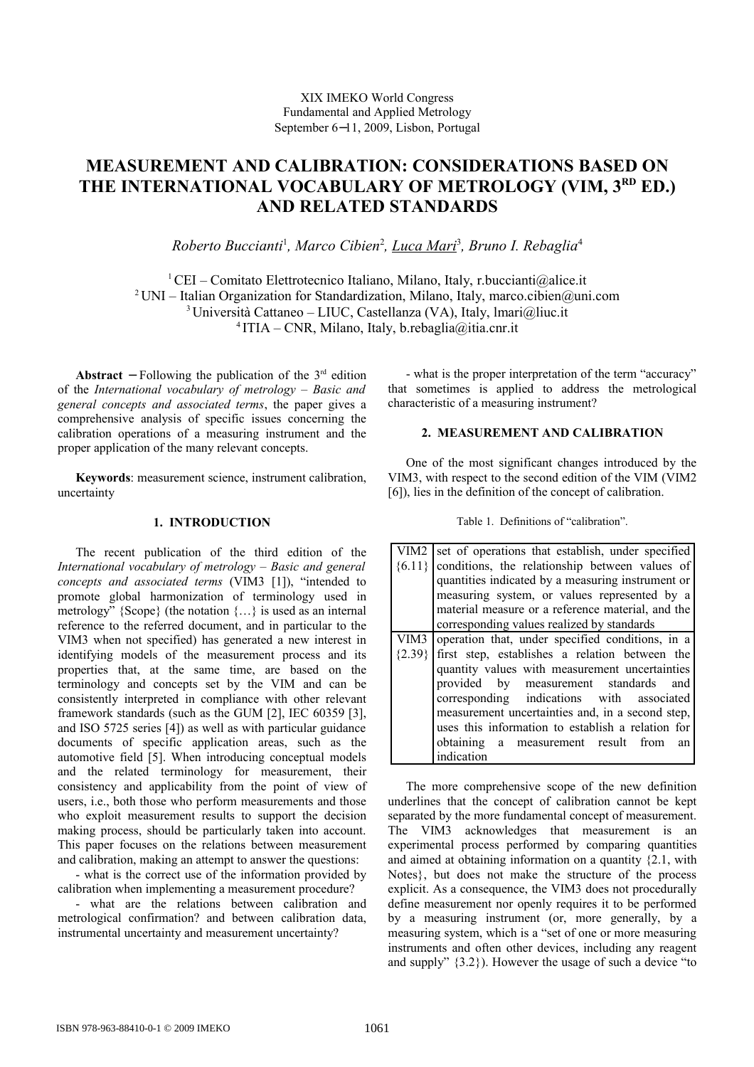# **MEASUREMENT AND CALIBRATION: CONSIDERATIONS BASED ON** THE INTERNATIONAL VOCABULARY OF METROLOGY (VIM, 3<sup>RD</sup> ED.) **AND RELATED STANDARDS**

*Roberto Buccianti*<sup>1</sup> *, Marco Cibien*<sup>2</sup> *, Luca Mari*<sup>3</sup> *, Bruno I. Rebaglia*<sup>4</sup>

<sup>1</sup> CEI – Comitato Elettrotecnico Italiano, Milano, Italy, r.buccianti@alice.it <sup>2</sup> UNI – Italian Organization for Standardization, Milano, Italy, marco.cibien@uni.com <sup>3</sup> Università Cattaneo – LIUC, Castellanza (VA), Italy, Imari@liuc.it 4 ITIA – CNR, Milano, Italy, b.rebaglia@itia.cnr.it

**Abstract** – Following the publication of the  $3<sup>rd</sup>$  edition of the *International vocabulary of metrology* – *Basic and general concepts and associated terms*, the paper gives a comprehensive analysis of specific issues concerning the calibration operations of a measuring instrument and the proper application of the many relevant concepts.

**Keywords**: measurement science, instrument calibration, uncertainty

#### **1. INTRODUCTION**

The recent publication of the third edition of the *International vocabulary of metrology* – *Basic and general concepts and associated terms* (VIM3 [1]), "intended to promote global harmonization of terminology used in metrology" {Scope} (the notation {…} is used as an internal reference to the referred document, and in particular to the VIM3 when not specified) has generated a new interest in identifying models of the measurement process and its properties that, at the same time, are based on the terminology and concepts set by the VIM and can be consistently interpreted in compliance with other relevant framework standards (such as the GUM [2], IEC 60359 [3], and ISO 5725 series [4]) as well as with particular guidance documents of specific application areas, such as the automotive field [5]. When introducing conceptual models and the related terminology for measurement, their consistency and applicability from the point of view of users, i.e., both those who perform measurements and those who exploit measurement results to support the decision making process, should be particularly taken into account. This paper focuses on the relations between measurement and calibration, making an attempt to answer the questions:

- what is the correct use of the information provided by calibration when implementing a measurement procedure?

- what are the relations between calibration and metrological confirmation? and between calibration data, instrumental uncertainty and measurement uncertainty?

- what is the proper interpretation of the term "accuracy" that sometimes is applied to address the metrological characteristic of a measuring instrument?

## **2. MEASUREMENT AND CALIBRATION**

One of the most significant changes introduced by the VIM3, with respect to the second edition of the VIM (VIM2 [6]), lies in the definition of the concept of calibration.

Table 1. Definitions of "calibration".

| VIM <sub>2</sub> | set of operations that establish, under specified |
|------------------|---------------------------------------------------|
| ${6.11}$         | conditions, the relationship between values of    |
|                  | quantities indicated by a measuring instrument or |
|                  | measuring system, or values represented by a      |
|                  | material measure or a reference material, and the |
|                  | corresponding values realized by standards        |
| VIM3             | operation that, under specified conditions, in a  |
| ${2.39}$         | first step, establishes a relation between the    |
|                  | quantity values with measurement uncertainties    |
|                  | provided by measurement standards<br>and          |
|                  | corresponding indications with associated         |
|                  | measurement uncertainties and, in a second step,  |
|                  | uses this information to establish a relation for |
|                  | obtaining a measurement result from<br>an         |
|                  | indication                                        |

The more comprehensive scope of the new definition underlines that the concept of calibration cannot be kept separated by the more fundamental concept of measurement. The VIM3 acknowledges that measurement is an experimental process performed by comparing quantities and aimed at obtaining information on a quantity {2.1, with Notes}, but does not make the structure of the process explicit. As a consequence, the VIM3 does not procedurally define measurement nor openly requires it to be performed by a measuring instrument (or, more generally, by a measuring system, which is a "set of one or more measuring instruments and often other devices, including any reagent and supply" {3.2}). However the usage of such a device "to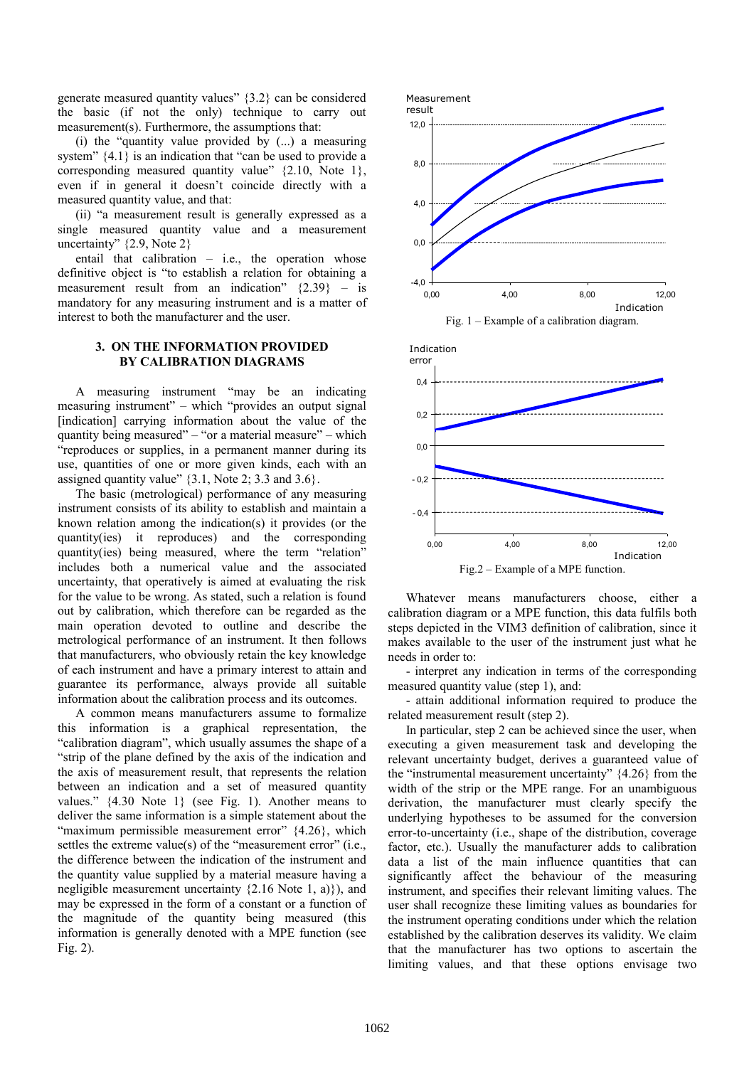generate measured quantity values" {3.2} can be considered the basic (if not the only) technique to carry out measurement(s). Furthermore, the assumptions that:

(i) the "quantity value provided by (...) a measuring system" {4.1} is an indication that "can be used to provide a corresponding measured quantity value" {2.10, Note 1}, even if in general it doesn't coincide directly with a measured quantity value, and that:

(ii) "a measurement result is generally expressed as a single measured quantity value and a measurement uncertainty" {2.9, Note 2}

entail that calibration – i.e., the operation whose definitive object is "to establish a relation for obtaining a measurement result from an indication"  $\{2.39\}$  – is mandatory for any measuring instrument and is a matter of interest to both the manufacturer and the user.

#### **3. ON THE INFORMATION PROVIDED BY CALIBRATION DIAGRAMS**

A measuring instrument "may be an indicating measuring instrument" – which "provides an output signal [indication] carrying information about the value of the quantity being measured" – "or a material measure" – which "reproduces or supplies, in a permanent manner during its use, quantities of one or more given kinds, each with an assigned quantity value"  $\{3.1, \text{Note 2}; 3.3 \text{ and } 3.6\}.$ 

The basic (metrological) performance of any measuring instrument consists of its ability to establish and maintain a known relation among the indication(s) it provides (or the quantity(ies) it reproduces) and the corresponding quantity(ies) being measured, where the term "relation" includes both a numerical value and the associated uncertainty, that operatively is aimed at evaluating the risk for the value to be wrong. As stated, such a relation is found out by calibration, which therefore can be regarded as the main operation devoted to outline and describe the metrological performance of an instrument. It then follows that manufacturers, who obviously retain the key knowledge of each instrument and have a primary interest to attain and guarantee its performance, always provide all suitable information about the calibration process and its outcomes.

A common means manufacturers assume to formalize this information is a graphical representation, the "calibration diagram", which usually assumes the shape of a "strip of the plane defined by the axis of the indication and the axis of measurement result, that represents the relation between an indication and a set of measured quantity values." {4.30 Note 1} (see Fig. 1). Another means to deliver the same information is a simple statement about the "maximum permissible measurement error"  $\{4.26\}$ , which settles the extreme value(s) of the "measurement error" (i.e., the difference between the indication of the instrument and the quantity value supplied by a material measure having a negligible measurement uncertainty {2.16 Note 1, a)}), and may be expressed in the form of a constant or a function of the magnitude of the quantity being measured (this information is generally denoted with a MPE function (see Fig. 2).







Whatever means manufacturers choose, either a calibration diagram or a MPE function, this data fulfils both steps depicted in the VIM3 definition of calibration, since it makes available to the user of the instrument just what he needs in order to:

- interpret any indication in terms of the corresponding measured quantity value (step 1), and:

- attain additional information required to produce the related measurement result (step 2).

In particular, step 2 can be achieved since the user, when executing a given measurement task and developing the relevant uncertainty budget, derives a guaranteed value of the "instrumental measurement uncertainty" {4.26} from the width of the strip or the MPE range. For an unambiguous derivation, the manufacturer must clearly specify the underlying hypotheses to be assumed for the conversion error-to-uncertainty (i.e., shape of the distribution, coverage factor, etc.). Usually the manufacturer adds to calibration data a list of the main influence quantities that can significantly affect the behaviour of the measuring instrument, and specifies their relevant limiting values. The user shall recognize these limiting values as boundaries for the instrument operating conditions under which the relation established by the calibration deserves its validity. We claim that the manufacturer has two options to ascertain the limiting values, and that these options envisage two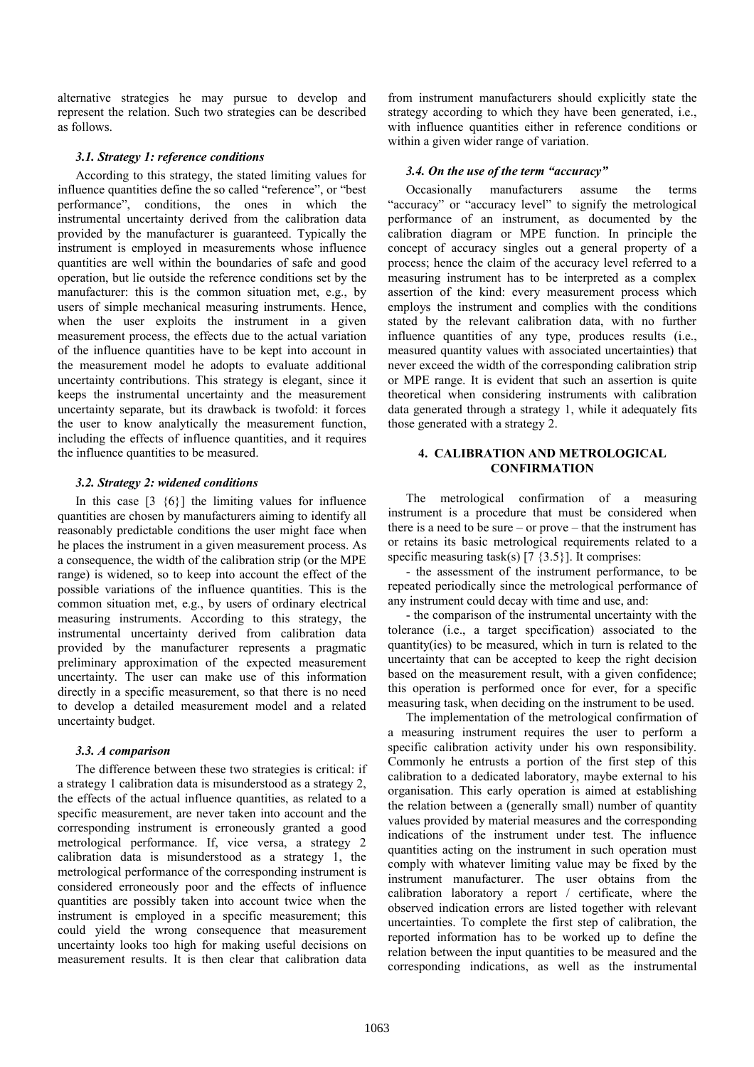alternative strategies he may pursue to develop and represent the relation. Such two strategies can be described as follows.

## *3.1. Strategy 1: reference conditions*

According to this strategy, the stated limiting values for influence quantities define the so called "reference", or "best performance", conditions, the ones in which the instrumental uncertainty derived from the calibration data provided by the manufacturer is guaranteed. Typically the instrument is employed in measurements whose influence quantities are well within the boundaries of safe and good operation, but lie outside the reference conditions set by the manufacturer: this is the common situation met, e.g., by users of simple mechanical measuring instruments. Hence, when the user exploits the instrument in a given measurement process, the effects due to the actual variation of the influence quantities have to be kept into account in the measurement model he adopts to evaluate additional uncertainty contributions. This strategy is elegant, since it keeps the instrumental uncertainty and the measurement uncertainty separate, but its drawback is twofold: it forces the user to know analytically the measurement function, including the effects of influence quantities, and it requires the influence quantities to be measured.

#### *3.2. Strategy 2: widened conditions*

In this case  $\begin{bmatrix} 3 & 46 \end{bmatrix}$  the limiting values for influence quantities are chosen by manufacturers aiming to identify all reasonably predictable conditions the user might face when he places the instrument in a given measurement process. As a consequence, the width of the calibration strip (or the MPE range) is widened, so to keep into account the effect of the possible variations of the influence quantities. This is the common situation met, e.g., by users of ordinary electrical measuring instruments. According to this strategy, the instrumental uncertainty derived from calibration data provided by the manufacturer represents a pragmatic preliminary approximation of the expected measurement uncertainty. The user can make use of this information directly in a specific measurement, so that there is no need to develop a detailed measurement model and a related uncertainty budget.

## *3.3. A comparison*

The difference between these two strategies is critical: if a strategy 1 calibration data is misunderstood as a strategy 2, the effects of the actual influence quantities, as related to a specific measurement, are never taken into account and the corresponding instrument is erroneously granted a good metrological performance. If, vice versa, a strategy 2 calibration data is misunderstood as a strategy 1, the metrological performance of the corresponding instrument is considered erroneously poor and the effects of influence quantities are possibly taken into account twice when the instrument is employed in a specific measurement; this could yield the wrong consequence that measurement uncertainty looks too high for making useful decisions on measurement results. It is then clear that calibration data

from instrument manufacturers should explicitly state the strategy according to which they have been generated, i.e., with influence quantities either in reference conditions or within a given wider range of variation.

## *3.4. On the use of the term "accuracy"*

Occasionally manufacturers assume the terms "accuracy" or "accuracy level" to signify the metrological performance of an instrument, as documented by the calibration diagram or MPE function. In principle the concept of accuracy singles out a general property of a process; hence the claim of the accuracy level referred to a measuring instrument has to be interpreted as a complex assertion of the kind: every measurement process which employs the instrument and complies with the conditions stated by the relevant calibration data, with no further influence quantities of any type, produces results (i.e., measured quantity values with associated uncertainties) that never exceed the width of the corresponding calibration strip or MPE range. It is evident that such an assertion is quite theoretical when considering instruments with calibration data generated through a strategy 1, while it adequately fits those generated with a strategy 2.

## **4. CALIBRATION AND METROLOGICAL CONFIRMATION**

The metrological confirmation of a measuring instrument is a procedure that must be considered when there is a need to be sure – or prove – that the instrument has or retains its basic metrological requirements related to a specific measuring task(s)  $[7 \{3.5\}]$ . It comprises:

- the assessment of the instrument performance, to be repeated periodically since the metrological performance of any instrument could decay with time and use, and:

- the comparison of the instrumental uncertainty with the tolerance (i.e., a target specification) associated to the quantity(ies) to be measured, which in turn is related to the uncertainty that can be accepted to keep the right decision based on the measurement result, with a given confidence; this operation is performed once for ever, for a specific measuring task, when deciding on the instrument to be used.

The implementation of the metrological confirmation of a measuring instrument requires the user to perform a specific calibration activity under his own responsibility. Commonly he entrusts a portion of the first step of this calibration to a dedicated laboratory, maybe external to his organisation. This early operation is aimed at establishing the relation between a (generally small) number of quantity values provided by material measures and the corresponding indications of the instrument under test. The influence quantities acting on the instrument in such operation must comply with whatever limiting value may be fixed by the instrument manufacturer. The user obtains from the calibration laboratory a report / certificate, where the observed indication errors are listed together with relevant uncertainties. To complete the first step of calibration, the reported information has to be worked up to define the relation between the input quantities to be measured and the corresponding indications, as well as the instrumental